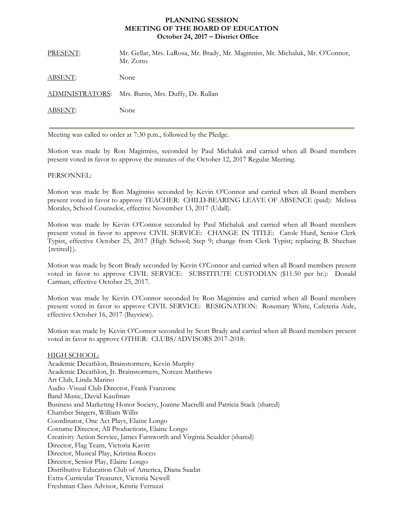# **PLANNING SESSION MEETING OF THE BOARD OF EDUCATION October 24, 2017 – District Office**

| PRESENT: | Mr. Gellar, Mrs. LaRosa, Mr. Brady, Mr. Maginniss, Mr. Michaluk, Mr. O'Connor,<br>Mr. Zotto |
|----------|---------------------------------------------------------------------------------------------|
| ABSENT:  | None                                                                                        |
|          | ADMINISTRATORS: Mrs. Burns, Mrs. Duffy, Dr. Rullan                                          |
| ABSENT:  | None                                                                                        |
|          |                                                                                             |

Meeting was called to order at 7:30 p.m., followed by the Pledge.

Motion was made by Ron Maginniss, seconded by Paul Michaluk and carried when all Board members present voted in favor to approve the minutes of the October 12, 2017 Regular Meeting.

## PERSONNEL:

Motion was made by Ron Maginniss seconded by Kevin O'Connor and carried when all Board members present voted in favor to approve TEACHER: CHILD-BEARING LEAVE OF ABSENCE (paid): Melissa Morales, School Counselor, effective November 13, 2017 (Udall).

Motion was made by Kevin O'Connor seconded by Paul Michaluk and carried when all Board members present voted in favor to approve CIVIL SERVICE: CHANGE IN TITLE: Carole Hurd, Senior Clerk Typist, effective October 25, 2017 (High School; Step 9; change from Clerk Typist; replacing B. Sheehan {retired}).

Motion was made by Scott Brady seconded by Kevin O'Connor and carried when all Board members present voted in favor to approve CIVIL SERVICE: SUBSTITUTE CUSTODIAN (\$11.50 per hr.): Donald Carman, effective October 25, 2017.

Motion was made by Kevin O'Connor seconded by Ron Maginniss and carried when all Board members present voted in favor to approve CIVIL SERVICE: RESIGNATION: Rosemary White, Cafeteria Aide, effective October 16, 2017 (Bayview).

Motion was made by Kevin O'Connor seconded by Scott Brady and carried when all Board members present voted in favor to approve OTHER: CLUBS/ADVISORS 2017-2018:

HIGH SCHOOL: Academic Decathlon, Brainstormers, Kevin Murphy Academic Decathlon, Jr. Brainstormers, Noreen Matthews Art Club, Linda Marino Audio -Visual Club Director, Frank Franzone Band Music, David Kaufman Business and Marketing Honor Society, Joanne Macrelli and Patricia Stack (shared) Chamber Singers, William Willis Coordinator, One Act Plays, Elaine Longo Costume Director, All Productions, Elaine Longo Creativity Action Service, James Farnworth and Virginia Scudder (shared) Director, Flag Team, Victoria Kavitt Director, Musical Play, Kristina Rocco Director, Senior Play, Elaine Longo Distributive Education Club of America, Diana Saadat Extra-Curricular Treasurer, Victoria Newell Freshman Class Advisor, Kristie Ferruzzi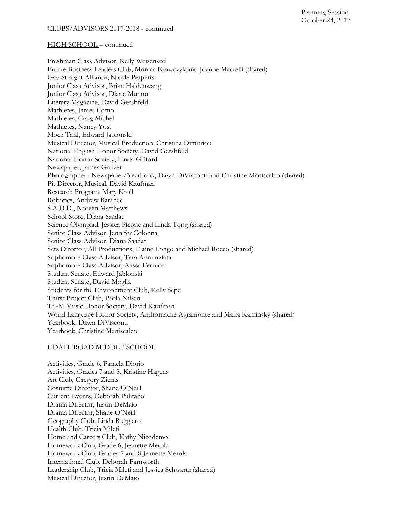CLUBS/ADVISORS 2017-2018 - continued

#### HIGH SCHOOL – continued

Freshman Class Advisor, Kelly Weisenseel Future Business Leaders Club, Monica Krawczyk and Joanne Macrelli (shared) Gay-Straight Alliance, Nicole Perperis Junior Class Advisor, Brian Haldenwang Junior Class Advisor, Diane Munno Literary Magazine, David Gershfeld Mathletes, James Como Mathletes, Craig Michel Mathletes, Nancy Yost Mock Trial, Edward Jablonski Musical Director, Musical Production, Christina Dimitriou National English Honor Society, David Gershfeld National Honor Society, Linda Gifford Newspaper, James Grover Photographer: Newspaper/Yearbook, Dawn DiVisconti and Christine Maniscalco (shared) Pit Director, Musical, David Kaufman Research Program, Mary Kroll Robotics, Andrew Baranec S.A.D.D., Noreen Matthews School Store, Diana Saadat Science Olympiad, Jessica Picone and Linda Tong (shared) Senior Class Advisor, Jennifer Colonna Senior Class Advisor, Diana Saadat Sets Director, All Productions, Elaine Longo and Michael Rocco (shared) Sophomore Class Advisor, Tara Annunziata Sophomore Class Advisor, Alissa Ferrucci Student Senate, Edward Jablonski Student Senate, David Moglia Students for the Environment Club, Kelly Sepe Thirst Project Club, Paola Nilsen Tri-M Music Honor Society, David Kaufman World Language Honor Society, Andromache Agramonte and Maria Kaminsky (shared) Yearbook, Dawn DiVisconti Yearbook, Christine Maniscalco

#### UDALL ROAD MIDDLE SCHOOL

Activities, Grade 6, Pamela Diorio Activities, Grades 7 and 8, Kristine Hagens Art Club, Gregory Ziems Costume Director, Shane O'Neill Current Events, Deborah Pulitano Drama Director, Justin DeMaio Drama Director, Shane O'Neill Geography Club, Linda Ruggiero Health Club, Tricia Mileti Home and Careers Club, Kathy Nicodemo Homework Club, Grade 6, Jeanette Merola Homework Club, Grades 7 and 8 Jeanette Merola International Club, Deborah Farnworth Leadership Club, Tricia Mileti and Jessica Schwartz (shared) Musical Director, Justin DeMaio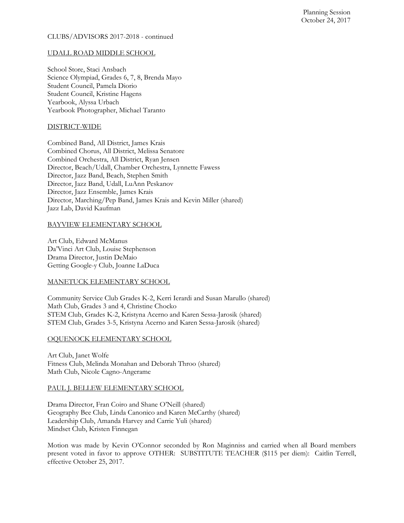# CLUBS/ADVISORS 2017-2018 - continued

# UDALL ROAD MIDDLE SCHOOL

School Store, Staci Ansbach Science Olympiad, Grades 6, 7, 8, Brenda Mayo Student Council, Pamela Diorio Student Council, Kristine Hagens Yearbook, Alyssa Urbach Yearbook Photographer, Michael Taranto

# DISTRICT-WIDE

Combined Band, All District, James Krais Combined Chorus, All District, Melissa Senatore Combined Orchestra, All District, Ryan Jensen Director, Beach/Udall, Chamber Orchestra, Lynnette Fawess Director, Jazz Band, Beach, Stephen Smith Director, Jazz Band, Udall, LuAnn Peskanov Director, Jazz Ensemble, James Krais Director, Marching/Pep Band, James Krais and Kevin Miller (shared) Jazz Lab, David Kaufman

# BAYVIEW ELEMENTARY SCHOOL

Art Club, Edward McManus Da'Vinci Art Club, Louise Stephenson Drama Director, Justin DeMaio Getting Google-y Club, Joanne LaDuca

## MANETUCK ELEMENTARY SCHOOL

Community Service Club Grades K-2, Kerri Ierardi and Susan Marullo (shared) Math Club, Grades 3 and 4, Christine Chocko STEM Club, Grades K-2, Kristyna Acerno and Karen Sessa-Jarosik (shared) STEM Club, Grades 3-5, Kristyna Acerno and Karen Sessa-Jarosik (shared)

## OQUENOCK ELEMENTARY SCHOOL

Art Club, Janet Wolfe Fitness Club, Melinda Monahan and Deborah Throo (shared) Math Club, Nicole Cagno-Angerame

## PAUL J. BELLEW ELEMENTARY SCHOOL

Drama Director, Fran Coiro and Shane O'Neill (shared) Geography Bee Club, Linda Canonico and Karen McCarthy (shared) Leadership Club, Amanda Harvey and Carrie Yuli (shared) Mindset Club, Kristen Finnegan

Motion was made by Kevin O'Connor seconded by Ron Maginniss and carried when all Board members present voted in favor to approve OTHER: SUBSTITUTE TEACHER (\$115 per diem): Caitlin Terrell, effective October 25, 2017.